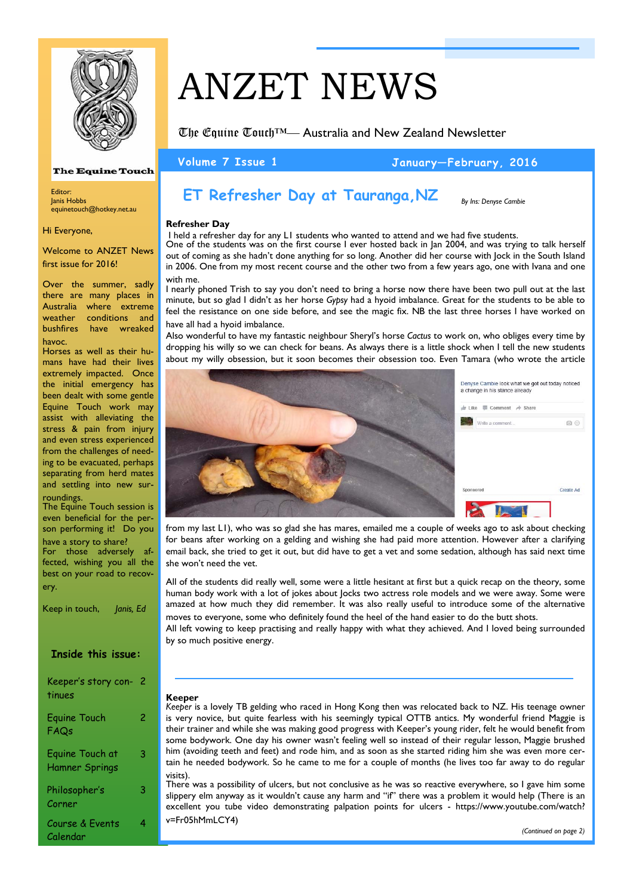

### **The Equine Touch**

Editor: Janis Hobbs equinetouch@hotkey.net.au

Hi Everyone,

Welcome to ANZET News first issue for 2016!

Over the summer, sadly there are many places in Australia where extreme weather conditions and bushfires have wreaked havoc.

Horses as well as their humans have had their lives extremely impacted. Once the initial emergency has been dealt with some gentle Equine Touch work may assist with alleviating the stress & pain from injury and even stress experienced from the challenges of needing to be evacuated, perhaps separating from herd mates and settling into new surroundings.

The Equine Touch session is even beneficial for the person performing it! Do you have a story to share?

For those adversely affected, wishing you all the best on your road to recovery.

**Inside this issue:**  Keeper's story con-2 tinues Equine Touch at Hamner Springs 3 Philosopher's Corner 3 Equine Touch FAQs 2 Keep in touch, *Janis, Ed*

Course & Events

4

Calendar

# ANZET NEWS

The Equine Touch™— Australia and New Zealand Newsletter

**Volume 7 Issue 1 January—February, 2016** 

*By Ins: Denyse Cambie*

# **ET Refresher Day at Tauranga,NZ**

## **Refresher Day**

 I held a refresher day for any L1 students who wanted to attend and we had five students. One of the students was on the first course I ever hosted back in Jan 2004, and was trying to talk herself out of coming as she hadn't done anything for so long. Another did her course with Jock in the South Island in 2006. One from my most recent course and the other two from a few years ago, one with Ivana and one

with me. I nearly phoned Trish to say you don't need to bring a horse now there have been two pull out at the last minute, but so glad I didn't as her horse *Gypsy* had a hyoid imbalance. Great for the students to be able to feel the resistance on one side before, and see the magic fix. NB the last three horses I have worked on have all had a hyoid imbalance.

Also wonderful to have my fantastic neighbour Sheryl's horse *Cactus* to work on, who obliges every time by dropping his willy so we can check for beans. As always there is a little shock when I tell the new students about my willy obsession, but it soon becomes their obsession too. Even Tamara (who wrote the article



from my last L1), who was so glad she has mares, emailed me a couple of weeks ago to ask about checking for beans after working on a gelding and wishing she had paid more attention. However after a clarifying email back, she tried to get it out, but did have to get a vet and some sedation, although has said next time she won't need the vet.

All of the students did really well, some were a little hesitant at first but a quick recap on the theory, some human body work with a lot of jokes about Jocks two actress role models and we were away. Some were amazed at how much they did remember. It was also really useful to introduce some of the alternative moves to everyone, some who definitely found the heel of the hand easier to do the butt shots.

All left vowing to keep practising and really happy with what they achieved. And I loved being surrounded by so much positive energy.

# **Keeper**

*Keeper* is a lovely TB gelding who raced in Hong Kong then was relocated back to NZ. His teenage owner is very novice, but quite fearless with his seemingly typical OTTB antics. My wonderful friend Maggie is their trainer and while she was making good progress with Keeper's young rider, felt he would benefit from some bodywork. One day his owner wasn't feeling well so instead of their regular lesson, Maggie brushed him (avoiding teeth and feet) and rode him, and as soon as she started riding him she was even more certain he needed bodywork. So he came to me for a couple of months (he lives too far away to do regular visits).

There was a possibility of ulcers, but not conclusive as he was so reactive everywhere, so I gave him some slippery elm anyway as it wouldn't cause any harm and "if" there was a problem it would help (There is an excellent you tube video demonstrating palpation points for ulcers - https://www.youtube.com/watch? v=Fr05hMmLCY4)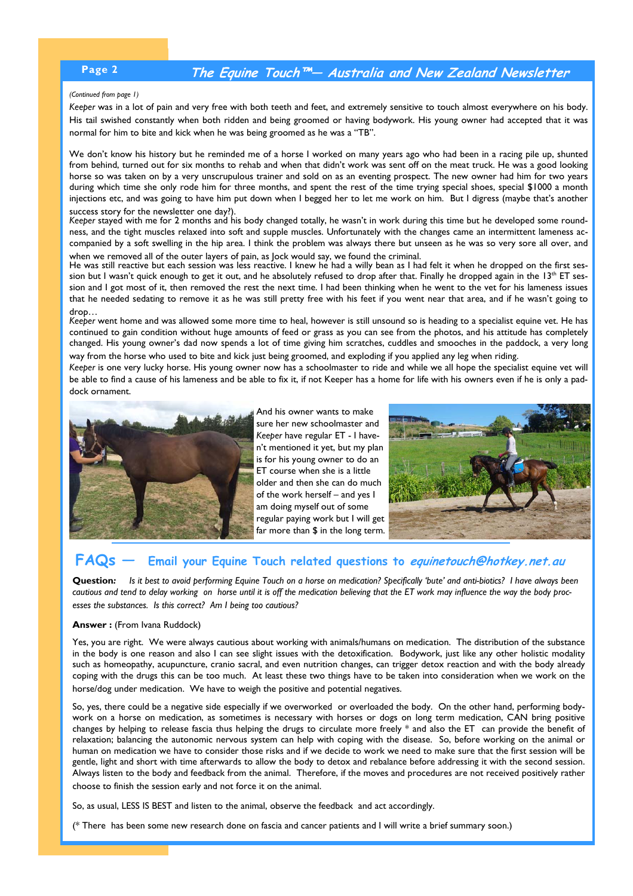# **Page 2 The Equine Touch™— Australia and New Zealand Newsletter**

#### *(Continued from page 1)*

*Keeper* was in a lot of pain and very free with both teeth and feet, and extremely sensitive to touch almost everywhere on his body. His tail swished constantly when both ridden and being groomed or having bodywork. His young owner had accepted that it was normal for him to bite and kick when he was being groomed as he was a "TB".

We don't know his history but he reminded me of a horse I worked on many years ago who had been in a racing pile up, shunted from behind, turned out for six months to rehab and when that didn't work was sent off on the meat truck. He was a good looking horse so was taken on by a very unscrupulous trainer and sold on as an eventing prospect. The new owner had him for two years during which time she only rode him for three months, and spent the rest of the time trying special shoes, special \$1000 a month injections etc, and was going to have him put down when I begged her to let me work on him. But I digress (maybe that's another success story for the newsletter one day?).

*Keeper* stayed with me for 2 months and his body changed totally, he wasn't in work during this time but he developed some roundness, and the tight muscles relaxed into soft and supple muscles. Unfortunately with the changes came an intermittent lameness accompanied by a soft swelling in the hip area. I think the problem was always there but unseen as he was so very sore all over, and when we removed all of the outer layers of pain, as Jock would say, we found the criminal.

He was still reactive but each session was less reactive. I knew he had a willy bean as I had felt it when he dropped on the first session but I wasn't quick enough to get it out, and he absolutely refused to drop after that. Finally he dropped again in the 13<sup>th</sup> ET session and I got most of it, then removed the rest the next time. I had been thinking when he went to the vet for his lameness issues that he needed sedating to remove it as he was still pretty free with his feet if you went near that area, and if he wasn't going to drop…

*Keeper* went home and was allowed some more time to heal, however is still unsound so is heading to a specialist equine vet. He has continued to gain condition without huge amounts of feed or grass as you can see from the photos, and his attitude has completely changed. His young owner's dad now spends a lot of time giving him scratches, cuddles and smooches in the paddock, a very long way from the horse who used to bite and kick just being groomed, and exploding if you applied any leg when riding.

*Keeper* is one very lucky horse. His young owner now has a schoolmaster to ride and while we all hope the specialist equine vet will be able to find a cause of his lameness and be able to fix it, if not Keeper has a home for life with his owners even if he is only a paddock ornament.



And his owner wants to make sure her new schoolmaster and *Keeper* have regular ET - I haven't mentioned it yet, but my plan is for his young owner to do an ET course when she is a little older and then she can do much of the work herself – and yes I am doing myself out of some regular paying work but I will get far more than \$ in the long term.



# **FAQs — Email your Equine Touch related questions to equinetouch@hotkey.net.au**

**Question***: Is it best to avoid performing Equine Touch on a horse on medication? Specifically 'bute' and anti-biotics? I have always been cautious and tend to delay working on horse until it is off the medication believing that the ET work may influence the way the body processes the substances. Is this correct? Am I being too cautious?* 

### **Answer :** (From Ivana Ruddock)

Yes, you are right. We were always cautious about working with animals/humans on medication. The distribution of the substance in the body is one reason and also I can see slight issues with the detoxification. Bodywork, just like any other holistic modality such as homeopathy, acupuncture, cranio sacral, and even nutrition changes, can trigger detox reaction and with the body already coping with the drugs this can be too much. At least these two things have to be taken into consideration when we work on the horse/dog under medication. We have to weigh the positive and potential negatives.

So, yes, there could be a negative side especially if we overworked or overloaded the body. On the other hand, performing bodywork on a horse on medication, as sometimes is necessary with horses or dogs on long term medication, CAN bring positive changes by helping to release fascia thus helping the drugs to circulate more freely \* and also the ET can provide the benefit of relaxation; balancing the autonomic nervous system can help with coping with the disease. So, before working on the animal or human on medication we have to consider those risks and if we decide to work we need to make sure that the first session will be gentle, light and short with time afterwards to allow the body to detox and rebalance before addressing it with the second session. Always listen to the body and feedback from the animal. Therefore, if the moves and procedures are not received positively rather choose to finish the session early and not force it on the animal.

So, as usual, LESS IS BEST and listen to the animal, observe the feedback and act accordingly.

(\* There has been some new research done on fascia and cancer patients and I will write a brief summary soon.)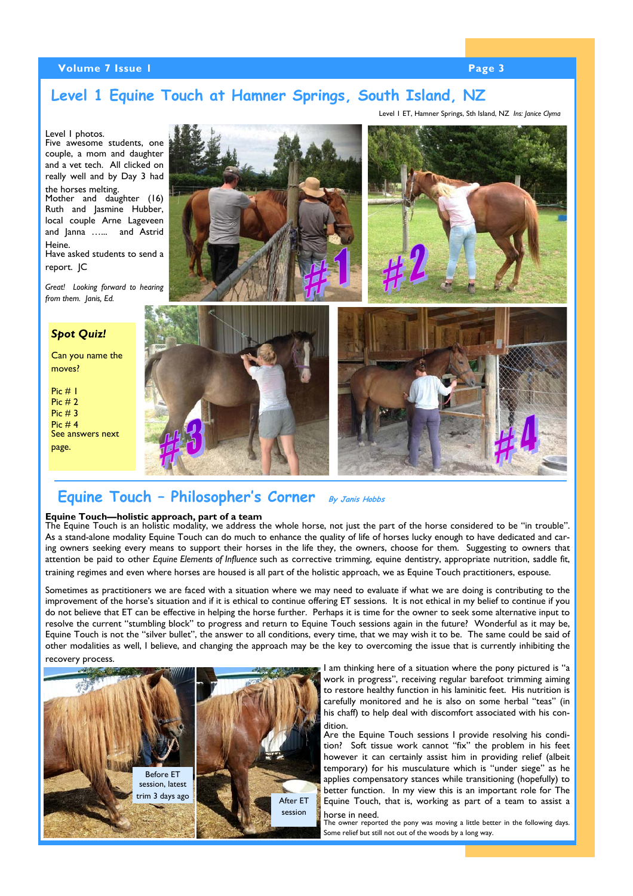# **Volume 7 Issue 1 Page 3 <b>Page 3 Page 3**

# **Level 1 Equine Touch at Hamner Springs, South Island, NZ**

Level 1 ET, Hamner Springs, Sth Island, NZ *Ins: Janice Clyma*



# **Equine Touch – Philosopher's Corner By Janis Hobbs**

## **Equine Touch—holistic approach, part of a team**

The Equine Touch is an holistic modality, we address the whole horse, not just the part of the horse considered to be "in trouble". As a stand-alone modality Equine Touch can do much to enhance the quality of life of horses lucky enough to have dedicated and caring owners seeking every means to support their horses in the life they, the owners, choose for them. Suggesting to owners that attention be paid to other *Equine Elements of Influence* such as corrective trimming, equine dentistry, appropriate nutrition, saddle fit, training regimes and even where horses are housed is all part of the holistic approach, we as Equine Touch practitioners, espouse.

Sometimes as practitioners we are faced with a situation where we may need to evaluate if what we are doing is contributing to the improvement of the horse's situation and if it is ethical to continue offering ET sessions. It is not ethical in my belief to continue if you do not believe that ET can be effective in helping the horse further. Perhaps it is time for the owner to seek some alternative input to resolve the current "stumbling block" to progress and return to Equine Touch sessions again in the future? Wonderful as it may be, Equine Touch is not the "silver bullet", the answer to all conditions, every time, that we may wish it to be. The same could be said of other modalities as well, I believe, and changing the approach may be the key to overcoming the issue that is currently inhibiting the recovery process.



I am thinking here of a situation where the pony pictured is "a work in progress", receiving regular barefoot trimming aiming to restore healthy function in his laminitic feet. His nutrition is carefully monitored and he is also on some herbal "teas" (in his chaff) to help deal with discomfort associated with his condition.

Are the Equine Touch sessions I provide resolving his condition? Soft tissue work cannot "fix" the problem in his feet however it can certainly assist him in providing relief (albeit temporary) for his musculature which is "under siege" as he applies compensatory stances while transitioning (hopefully) to better function. In my view this is an important role for The Equine Touch, that is, working as part of a team to assist a horse in need.

The owner reported the pony was moving a little better in the following days. Some relief but still not out of the woods by a long way.